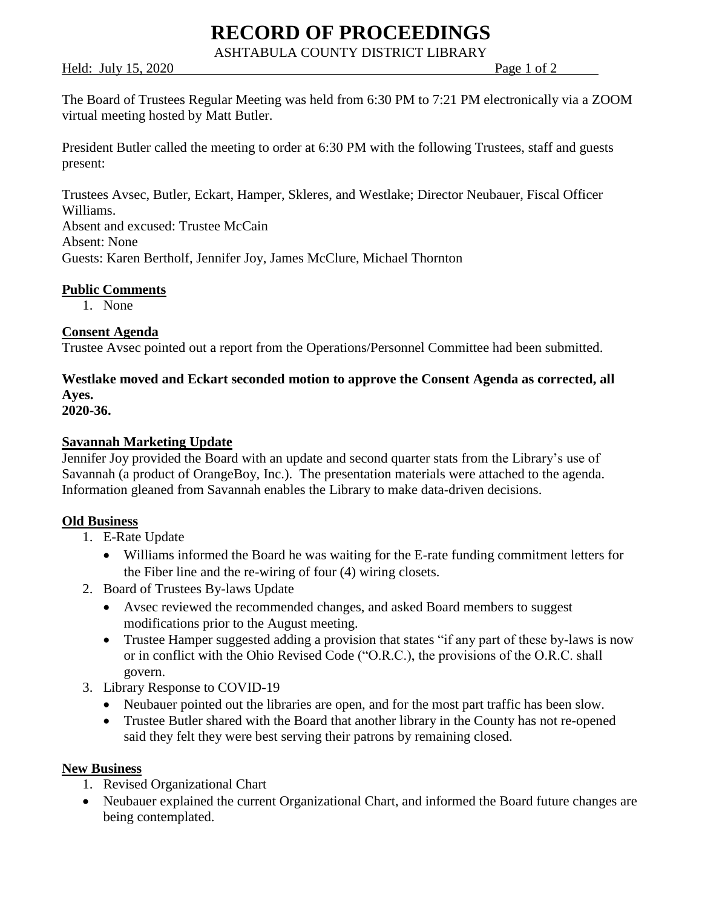# **RECORD OF PROCEEDINGS**

ASHTABULA COUNTY DISTRICT LIBRARY

Held: July 15, 2020 Page 1 of 2

The Board of Trustees Regular Meeting was held from 6:30 PM to 7:21 PM electronically via a ZOOM virtual meeting hosted by Matt Butler.

President Butler called the meeting to order at 6:30 PM with the following Trustees, staff and guests present:

Trustees Avsec, Butler, Eckart, Hamper, Skleres, and Westlake; Director Neubauer, Fiscal Officer Williams. Absent and excused: Trustee McCain Absent: None Guests: Karen Bertholf, Jennifer Joy, James McClure, Michael Thornton

# **Public Comments**

1. None

# **Consent Agenda**

Trustee Avsec pointed out a report from the Operations/Personnel Committee had been submitted.

# **Westlake moved and Eckart seconded motion to approve the Consent Agenda as corrected, all Ayes.**

**2020-36.**

# **Savannah Marketing Update**

Jennifer Joy provided the Board with an update and second quarter stats from the Library's use of Savannah (a product of OrangeBoy, Inc.). The presentation materials were attached to the agenda. Information gleaned from Savannah enables the Library to make data-driven decisions.

#### **Old Business**

- 1. E-Rate Update
	- Williams informed the Board he was waiting for the E-rate funding commitment letters for the Fiber line and the re-wiring of four (4) wiring closets.
- 2. Board of Trustees By-laws Update
	- Avsec reviewed the recommended changes, and asked Board members to suggest modifications prior to the August meeting.
	- Trustee Hamper suggested adding a provision that states "if any part of these by-laws is now or in conflict with the Ohio Revised Code ("O.R.C.), the provisions of the O.R.C. shall govern.
- 3. Library Response to COVID-19
	- Neubauer pointed out the libraries are open, and for the most part traffic has been slow.
	- Trustee Butler shared with the Board that another library in the County has not re-opened said they felt they were best serving their patrons by remaining closed.

#### **New Business**

- 1. Revised Organizational Chart
- Neubauer explained the current Organizational Chart, and informed the Board future changes are being contemplated.